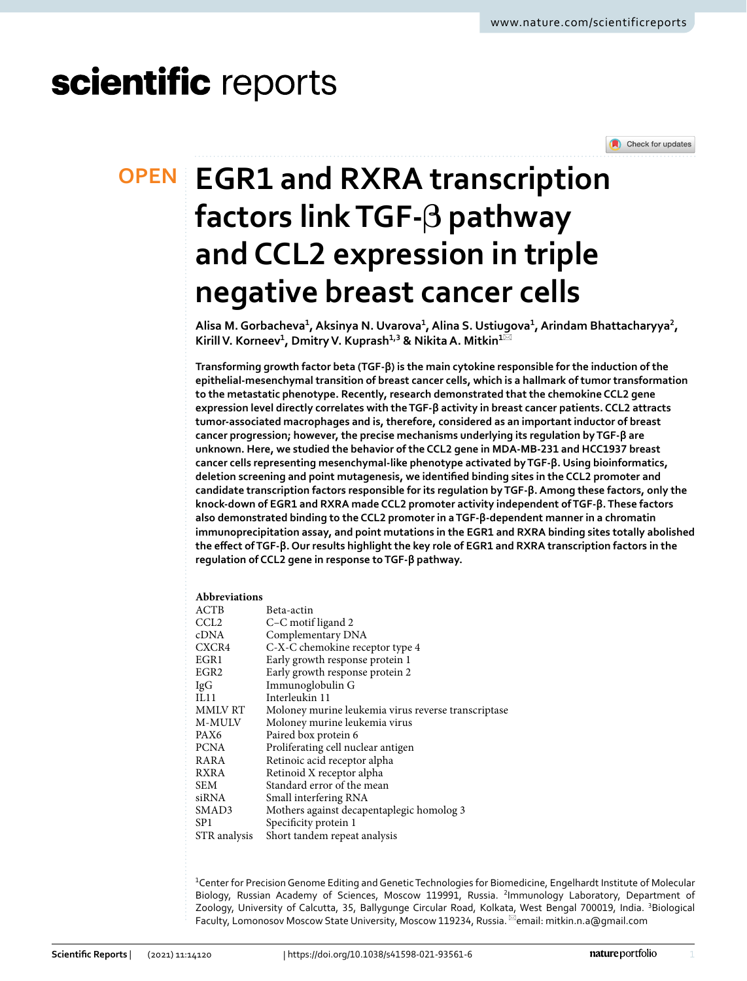# scientific reports

Check for updates

# **EGR1 and RXRA transcription OPEN factors link TGF‑β pathway and CCL2 expression in triple negative breast cancer cells**

**Alisa M. Gorbacheva<sup>1</sup> , Aksinya N. Uvarova<sup>1</sup> , Alina S. Ustiugova<sup>1</sup> , Arindam Bhattacharyya<sup>2</sup> , Kirill V. Korneev<sup>1</sup> , Dmitry V. Kuprash1,3 & Nikita A. Mitkin<sup>1</sup>**\*

**Transforming growth factor beta (TGF‑β) is the main cytokine responsible for the induction of the epithelial‑mesenchymal transition of breast cancer cells, which is a hallmark of tumor transformation to the metastatic phenotype. Recently, research demonstrated that the chemokine CCL2 gene expression level directly correlates with the TGF‑β activity in breast cancer patients. CCL2 attracts tumor‑associated macrophages and is, therefore, considered as an important inductor of breast cancer progression; however, the precise mechanisms underlying its regulation by TGF‑β are unknown. Here, we studied the behavior of the CCL2 gene in MDA‑MB‑231 and HCC1937 breast cancer cells representing mesenchymal‑like phenotype activated by TGF‑β. Using bioinformatics, deletion screening and point mutagenesis, we identified binding sites in the CCL2 promoter and candidate transcription factors responsible for its regulation by TGF‑β. Among these factors, only the knock‑down of EGR1 and RXRA made CCL2 promoter activity independent of TGF‑β. These factors also demonstrated binding to the CCL2 promoter in a TGF‑β‑dependent manner in a chromatin immunoprecipitation assay, and point mutations in the EGR1 and RXRA binding sites totally abolished the effect of TGF‑β. Our results highlight the key role of EGR1 and RXRA transcription factors in the regulation of CCL2 gene in response to TGF‑β pathway.**

### **Abbreviations**

| ACTB             | Beta-actin                                          |
|------------------|-----------------------------------------------------|
| CCL <sub>2</sub> | C-C motif ligand 2                                  |
| cDNA             | Complementary DNA                                   |
| CXCR4            | C-X-C chemokine receptor type 4                     |
| EGR1             | Early growth response protein 1                     |
| EGR <sub>2</sub> | Early growth response protein 2                     |
| IgG              | Immunoglobulin G                                    |
| IL11             | Interleukin 11                                      |
| MMLV RT          | Moloney murine leukemia virus reverse transcriptase |
| M-MULV           | Moloney murine leukemia virus                       |
| PAX6             | Paired box protein 6                                |
| <b>PCNA</b>      | Proliferating cell nuclear antigen                  |
| RARA             | Retinoic acid receptor alpha                        |
| RXRA             | Retinoid X receptor alpha                           |
| SEM              | Standard error of the mean                          |
| siRNA            | Small interfering RNA                               |
| SMAD3            | Mothers against decapentaplegic homolog 3           |
| SP <sub>1</sub>  | Specificity protein 1                               |
| STR analysis     | Short tandem repeat analysis                        |

<sup>1</sup>Center for Precision Genome Editing and Genetic Technologies for Biomedicine, Engelhardt Institute of Molecular Biology, Russian Academy of Sciences, Moscow 119991, Russia. <sup>2</sup>Immunology Laboratory, Department of Zoology, University of Calcutta, 35, Ballygunge Circular Road, Kolkata, West Bengal 700019, India. <sup>3</sup>Biological Faculty, Lomonosov Moscow State University, Moscow 119234, Russia.  $\boxtimes$ email: mitkin.n.a@qmail.com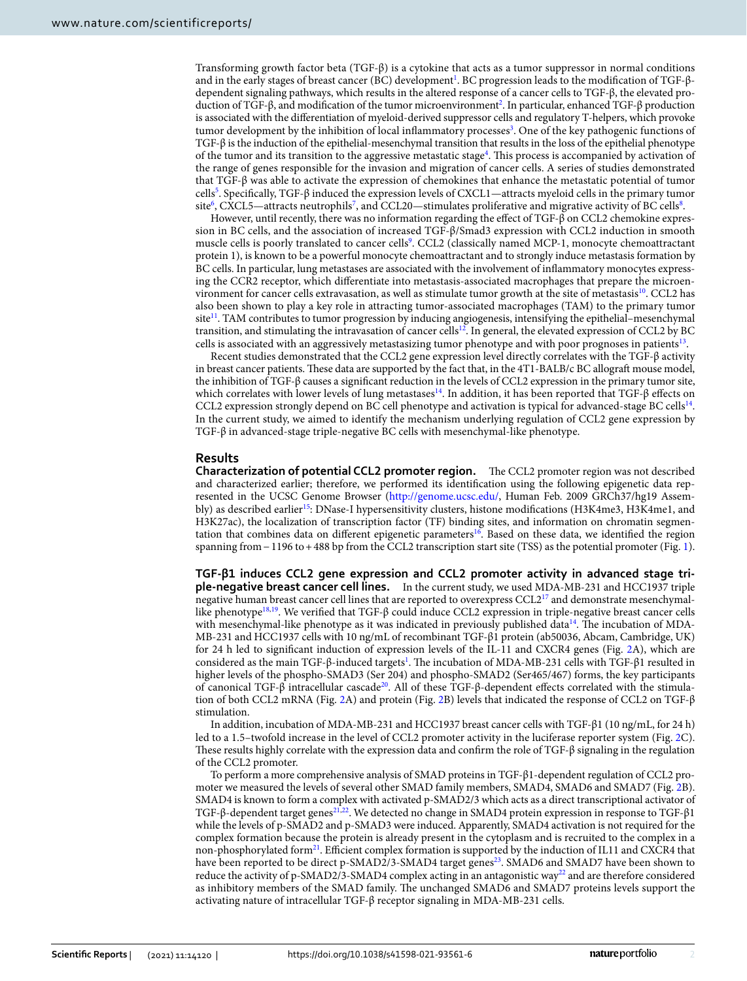Transforming growth factor beta (TGF-β) is a cytokine that acts as a tumor suppressor in normal conditions and in the early stages of breast cancer (BC) development<sup>[1](#page-10-0)</sup>. BC progression leads to the modification of TGF-βdependent signaling pathways, which results in the altered response of a cancer cells to TGF-β, the elevated production of TGF-β, and modification of the tumor microenvironment[2](#page-10-1) . In particular, enhanced TGF-β production is associated with the differentiation of myeloid-derived suppressor cells and regulatory T-helpers, which provoke tumor development by the inhibition of local inflammatory processes<sup>[3](#page-10-2)</sup>. One of the key pathogenic functions of TGF-β is the induction of the epithelial-mesenchymal transition that results in the loss of the epithelial phenotype of the tumor and its transition to the aggressive metastatic stage<sup>[4](#page-10-3)</sup>. This process is accompanied by activation of the range of genes responsible for the invasion and migration of cancer cells. A series of studies demonstrated that TGF-β was able to activate the expression of chemokines that enhance the metastatic potential of tumor cells<sup>[5](#page-10-4)</sup>. Specifically, TGF-β induced the expression levels of CXCL1—attracts myeloid cells in the primary tumor site $^6$  $^6$ , CXCL5—attracts neutrophils $^7$  $^7$ , and CCL20—stimulates proliferative and migrative activity of BC cells $^8$  $^8$ .

However, until recently, there was no information regarding the effect of TGF-β on CCL2 chemokine expression in BC cells, and the association of increased TGF-β/Smad3 expression with CCL2 induction in smooth muscle cells is poorly translated to cancer cells<sup>[9](#page-10-8)</sup>. CCL2 (classically named MCP-1, monocyte chemoattractant protein 1), is known to be a powerful monocyte chemoattractant and to strongly induce metastasis formation by BC cells. In particular, lung metastases are associated with the involvement of inflammatory monocytes expressing the CCR2 receptor, which differentiate into metastasis-associated macrophages that prepare the microen-vironment for cancer cells extravasation, as well as stimulate tumor growth at the site of metastasis<sup>[10](#page-10-9)</sup>. CCL2 has also been shown to play a key role in attracting tumor-associated macrophages (TAM) to the primary tumor site<sup>[11](#page-10-10)</sup>. TAM contributes to tumor progression by inducing angiogenesis, intensifying the epithelial–mesenchymal transition, and stimulating the intravasation of cancer cells<sup>[12](#page-10-11)</sup>. In general, the elevated expression of CCL2 by BC cells is associated with an aggressively metastasizing tumor phenotype and with poor prognoses in patients<sup>[13](#page-10-12)</sup>.

Recent studies demonstrated that the CCL2 gene expression level directly correlates with the TGF-β activity in breast cancer patients. These data are supported by the fact that, in the 4T1-BALB/c BC allograft mouse model, the inhibition of TGF-β causes a significant reduction in the levels of CCL2 expression in the primary tumor site, which correlates with lower levels of lung metastases<sup>[14](#page-10-13)</sup>. In addition, it has been reported that TGF-β effects on CCL2 expression strongly depend on BC cell phenotype and activation is typical for advanced-stage BC cells<sup>[14](#page-10-13)</sup>. In the current study, we aimed to identify the mechanism underlying regulation of CCL2 gene expression by TGF-β in advanced-stage triple-negative BC cells with mesenchymal-like phenotype.

# **Results**

**Characterization of potential CCL2 promoter region.** The CCL2 promoter region was not described and characterized earlier; therefore, we performed its identification using the following epigenetic data represented in the UCSC Genome Browser (http://genome.ucsc.edu/, Human Feb. 2009 GRCh37/hg19 Assem-bly) as described earlier<sup>[15](#page-10-14)</sup>: DNase-I hypersensitivity clusters, histone modifications (H3K4me3, H3K4me1, and H3K27ac), the localization of transcription factor (TF) binding sites, and information on chromatin segmen-tation that combines data on different epigenetic parameters<sup>[16](#page-10-15)</sup>. Based on these data, we identified the region spanning from − [1](#page-2-0)196 to + 488 bp from the CCL2 transcription start site (TSS) as the potential promoter (Fig. 1).

**TGF‑β1 induces CCL2 gene expression and CCL2 promoter activity in advanced stage tri‑ ple‑negative breast cancer cell lines.** In the current study, we used MDA-MB-231 and HCC1937 triple negative human breast cancer cell lines that are reported to overexpress CCL2<sup>[17](#page-10-16)</sup> and demonstrate mesenchymal-like phenotype<sup>[18](#page-10-17)[,19](#page-10-18)</sup>. We verified that TGF- $\beta$  could induce CCL2 expression in triple-negative breast cancer cells with mesenchymal-like phenotype as it was indicated in previously published data<sup>[14](#page-10-13)</sup>. The incubation of MDA-MB-231 and HCC1937 cells with 10 ng/mL of recombinant TGF-β1 protein (ab50036, Abcam, Cambridge, UK) for 24 h led to significant induction of expression levels of the IL-11 and CXCR4 genes (Fig. [2](#page-3-0)A), which are considered as the main TGF-β-induced targets<sup>[1](#page-10-0)</sup>. The incubation of MDA-MB-231 cells with TGF-β1 resulted in higher levels of the phospho-SMAD3 (Ser 204) and phospho-SMAD2 (Ser465/467) forms, the key participants of canonical TGF-β intracellular cascade<sup>[20](#page-10-19)</sup>. All of these TGF-β-dependent effects correlated with the stimulation of both CCL2 mRNA (Fig. [2](#page-3-0)A) and protein (Fig. [2B](#page-3-0)) levels that indicated the response of CCL2 on TGF-β stimulation.

In addition, incubation of MDA-MB-231 and HCC1937 breast cancer cells with TGF-β1 (10 ng/mL, for 24 h) led to a 1.5–twofold increase in the level of CCL2 promoter activity in the luciferase reporter system (Fig. [2C](#page-3-0)). These results highly correlate with the expression data and confirm the role of TGF-β signaling in the regulation of the CCL2 promoter.

To perform a more comprehensive analysis of SMAD proteins in TGF-β1-dependent regulation of CCL2 promoter we measured the levels of several other SMAD family members, SMAD4, SMAD6 and SMAD7 (Fig. [2B](#page-3-0)). SMAD4 is known to form a complex with activated p-SMAD2/3 which acts as a direct transcriptional activator of TGF-β-dependent target genes<sup>[21](#page-10-20),[22](#page-10-21)</sup>. We detected no change in SMAD4 protein expression in response to TGF-β1 while the levels of p-SMAD2 and p-SMAD3 were induced. Apparently, SMAD4 activation is not required for the complex formation because the protein is already present in the cytoplasm and is recruited to the complex in a non-phosphorylated form<sup>[21](#page-10-20)</sup>. Efficient complex formation is supported by the induction of IL11 and CXCR4 that have been reported to be direct p-SMAD2/3-SMAD4 target genes<sup>[23](#page-10-22)</sup>. SMAD6 and SMAD7 have been shown to reduce the activity of p-SMAD2/3-SMAD4 complex acting in an antagonistic way<sup>[22](#page-10-21)</sup> and are therefore considered as inhibitory members of the SMAD family. The unchanged SMAD6 and SMAD7 proteins levels support the activating nature of intracellular TGF-β receptor signaling in MDA-MB-231 cells.

2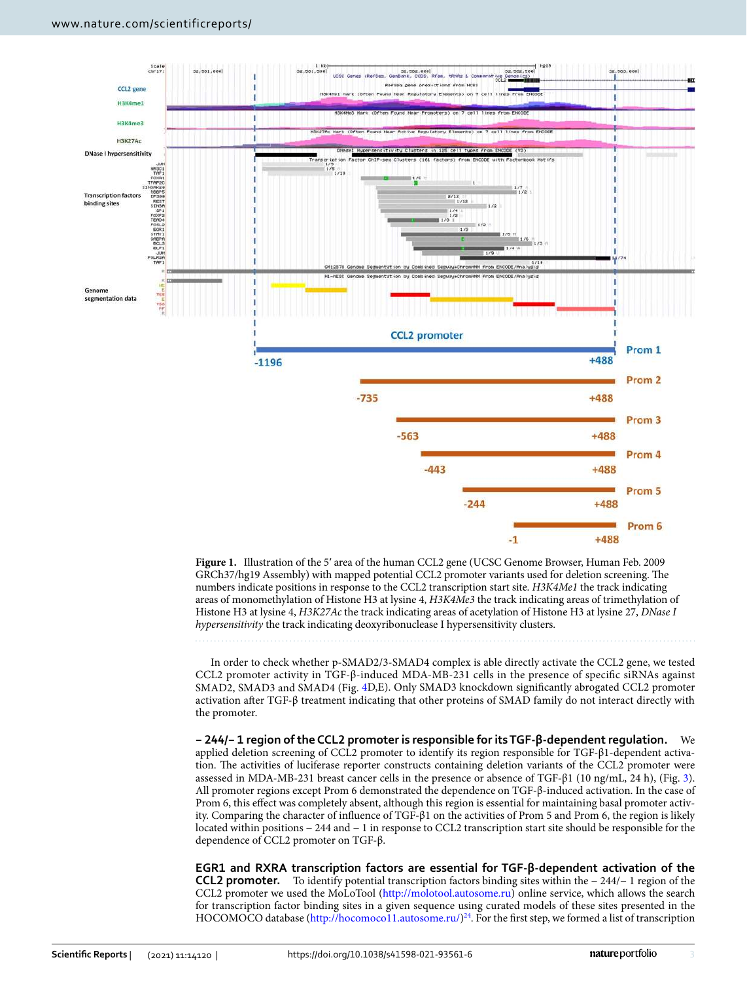

<span id="page-2-0"></span>**Figure 1.** Illustration of the 5′ area of the human CCL2 gene (UCSC Genome Browser, Human Feb. 2009 GRCh37/hg19 Assembly) with mapped potential CCL2 promoter variants used for deletion screening. The numbers indicate positions in response to the CCL2 transcription start site. H3K4Me1 the track indicating areas of monomethylation of Histone H3 at lysine 4, H3K4Me3 the track indicating areas of trimethylation of Histone H3 at lysine 4, H3K27Ac the track indicating areas of acetylation of Histone H3 at lysine 27, DNase I hypersensitivity the track indicating deoxyribonuclease I hypersensitivity clusters.

In order to check whether p-SMAD2/3-SMAD4 complex is able directly activate the CCL2 gene, we tested CCL2 promoter activity in TGF-β-induced MDA-MB-231 cells in the presence of specific siRNAs against SMAD2, SMAD3 and SMAD4 (Fig. [4D](#page-5-0),E). Only SMAD3 knockdown significantly abrogated CCL2 promoter activation after TGF-β treatment indicating that other proteins of SMAD family do not interact directly with the promoter.

**− 244/− 1 region of the CCL2 promoter is responsible for its TGF‑β‑dependent regulation.** We applied deletion screening of CCL2 promoter to identify its region responsible for TGF-β1-dependent activation. The activities of luciferase reporter constructs containing deletion variants of the CCL2 promoter were assessed in MDA-MB-231 breast cancer cells in the presence or absence of TGF-β1 (10 ng/mL, 24 h), (Fig. [3](#page-4-0)). All promoter regions except Prom 6 demonstrated the dependence on TGF-β-induced activation. In the case of Prom 6, this effect was completely absent, although this region is essential for maintaining basal promoter activity. Comparing the character of influence of TGF-β1 on the activities of Prom 5 and Prom 6, the region is likely located within positions − 244 and − 1 in response to CCL2 transcription start site should be responsible for the dependence of CCL2 promoter on TGF-β.

**EGR1 and RXRA transcription factors are essential for TGF‑β‑dependent activation of the CCL2 promoter.** To identify potential transcription factors binding sites within the − 244/− 1 region of the CCL2 promoter we used the MoLoTool (http://molotool.autosome.ru) online service, which allows the search for transcription factor binding sites in a given sequence using curated models of these sites presented in the HOCOMOCO database (http://hocomoco11.autosome.ru/)<sup>[24](#page-10-23)</sup>. For the first step, we formed a list of transcription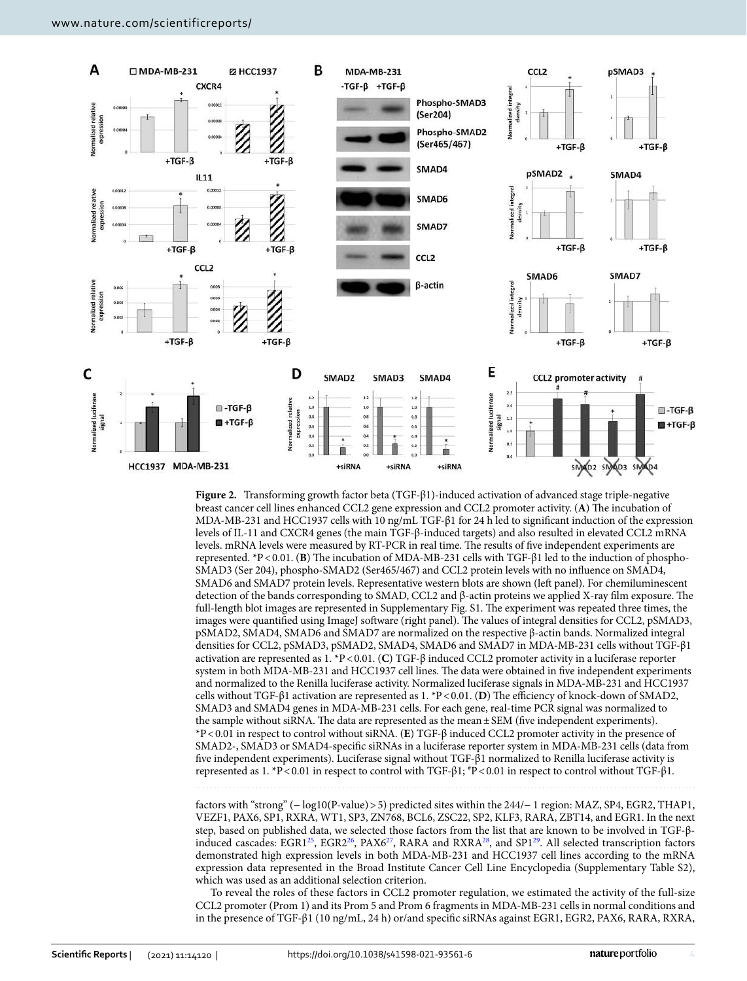

<span id="page-3-0"></span>**Figure 2.** Transforming growth factor beta (TGF-β1)-induced activation of advanced stage triple-negative breast cancer cell lines enhanced CCL2 gene expression and CCL2 promoter activity. (**A**) The incubation of MDA-MB-231 and HCC1937 cells with 10 ng/mL TGF-β1 for 24 h led to significant induction of the expression levels of IL-11 and CXCR4 genes (the main TGF-β-induced targets) and also resulted in elevated CCL2 mRNA levels. mRNA levels were measured by RT-PCR in real time. The results of five independent experiments are represented. \*P < 0.01. (**B**) The incubation of MDA-MB-231 cells with TGF-β1 led to the induction of phospho-SMAD3 (Ser 204), phospho-SMAD2 (Ser465/467) and CCL2 protein levels with no influence on SMAD4, SMAD6 and SMAD7 protein levels. Representative western blots are shown (left panel). For chemiluminescent detection of the bands corresponding to SMAD, CCL2 and β-actin proteins we applied X-ray film exposure. The full-length blot images are represented in Supplementary Fig. S1. The experiment was repeated three times, the images were quantified using ImageJ software (right panel). The values of integral densities for CCL2, pSMAD3, pSMAD2, SMAD4, SMAD6 and SMAD7 are normalized on the respective β-actin bands. Normalized integral densities for CCL2, pSMAD3, pSMAD2, SMAD4, SMAD6 and SMAD7 in MDA-MB-231 cells without TGF-β1 activation are represented as 1. \*P < 0.01. (**C**) TGF-β induced CCL2 promoter activity in a luciferase reporter system in both MDA-MB-231 and HCC1937 cell lines. The data were obtained in five independent experiments and normalized to the Renilla luciferase activity. Normalized luciferase signals in MDA-MB-231 and HCC1937 cells without TGF-β1 activation are represented as 1. \*P < 0.01. (**D**) The efficiency of knock-down of SMAD2, SMAD3 and SMAD4 genes in MDA-MB-231 cells. For each gene, real-time PCR signal was normalized to the sample without siRNA. The data are represented as the mean ± SEM (five independent experiments). \*P < 0.01 in respect to control without siRNA. (**E**) TGF-β induced CCL2 promoter activity in the presence of SMAD2-, SMAD3 or SMAD4-specific siRNAs in a luciferase reporter system in MDA-MB-231 cells (data from five independent experiments). Luciferase signal without TGF-β1 normalized to Renilla luciferase activity is represented as 1. \*P < 0.01 in respect to control with TGF-β1; #P < 0.01 in respect to control without TGF-β1.

factors with "strong" (− log10(P-value) > 5) predicted sites within the 244/− 1 region: MAZ, SP4, EGR2, THAP1, VEZF1, PAX6, SP1, RXRA, WT1, SP3, ZN768, BCL6, ZSC22, SP2, KLF3, RARA, ZBT14, and EGR1. In the next step, based on published data, we selected those factors from the list that are known to be involved in TGF-β-induced cascades: EGR1<sup>[25](#page-10-24)</sup>, EGR2<sup>[26](#page-10-25)</sup>, PAX6<sup>[27](#page-10-26)</sup>, RARA and RXRA<sup>[28](#page-11-0)</sup>, and SP1<sup>[29](#page-11-1)</sup>. All selected transcription factors demonstrated high expression levels in both MDA-MB-231 and HCC1937 cell lines according to the mRNA expression data represented in the Broad Institute Cancer Cell Line Encyclopedia (Supplementary Table S2), which was used as an additional selection criterion.

To reveal the roles of these factors in CCL2 promoter regulation, we estimated the activity of the full-size CCL2 promoter (Prom 1) and its Prom 5 and Prom 6 fragments in MDA-MB-231 cells in normal conditions and in the presence of TGF-β1 (10 ng/mL, 24 h) or/and specific siRNAs against EGR1, EGR2, PAX6, RARA, RXRA,

4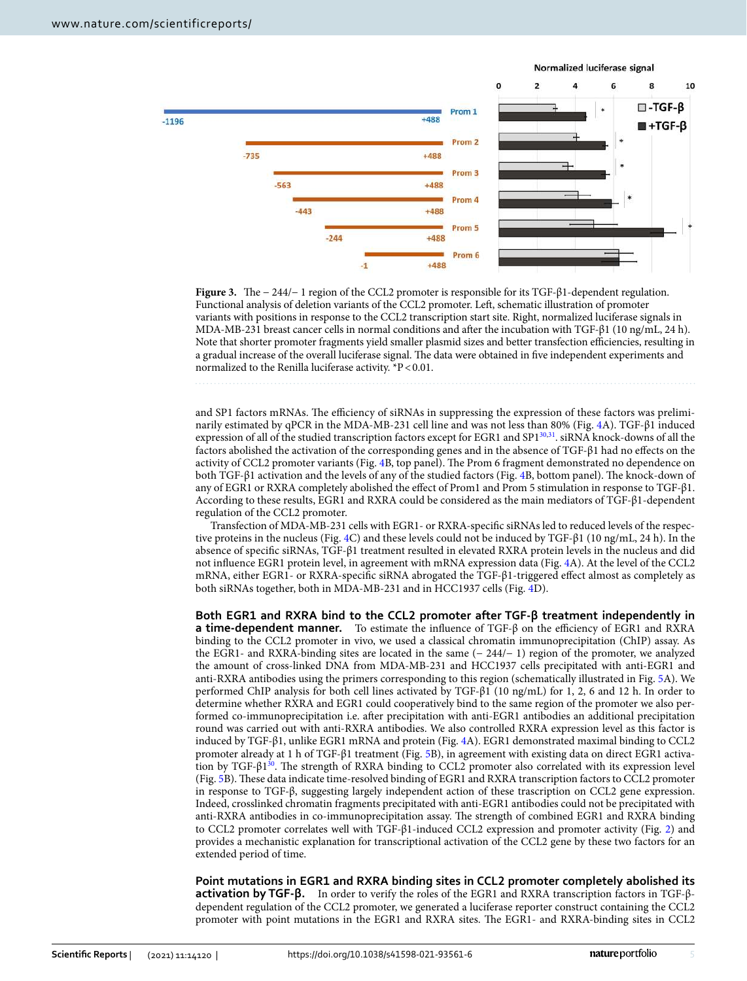

<span id="page-4-0"></span>**Figure 3.** The − 244/− 1 region of the CCL2 promoter is responsible for its TGF-β1-dependent regulation. Functional analysis of deletion variants of the CCL2 promoter. Left, schematic illustration of promoter variants with positions in response to the CCL2 transcription start site. Right, normalized luciferase signals in MDA-MB-231 breast cancer cells in normal conditions and after the incubation with TGF-β1 (10 ng/mL, 24 h). Note that shorter promoter fragments yield smaller plasmid sizes and better transfection efficiencies, resulting in a gradual increase of the overall luciferase signal. The data were obtained in five independent experiments and normalized to the Renilla luciferase activity. \*P < 0.01.

and SP1 factors mRNAs. The efficiency of siRNAs in suppressing the expression of these factors was preliminarily estimated by qPCR in the MDA-MB-231 cell line and was not less than 80% (Fig. [4](#page-5-0)A). TGF-β1 induced expression of all of the studied transcription factors except for EGR1 and SP1<sup>[30](#page-11-2)[,31](#page-11-3)</sup>. siRNA knock-downs of all the factors abolished the activation of the corresponding genes and in the absence of TGF-β1 had no effects on the activity of CCL2 promoter variants (Fig. [4B](#page-5-0), top panel). The Prom 6 fragment demonstrated no dependence on both TGF-β1 activation and the levels of any of the studied factors (Fig. [4B](#page-5-0), bottom panel). The knock-down of any of EGR1 or RXRA completely abolished the effect of Prom1 and Prom 5 stimulation in response to TGF-β1. According to these results, EGR1 and RXRA could be considered as the main mediators of TGF-β1-dependent regulation of the CCL2 promoter.

Transfection of MDA-MB-231 cells with EGR1- or RXRA-specific siRNAs led to reduced levels of the respective proteins in the nucleus (Fig. [4](#page-5-0)C) and these levels could not be induced by TGF-β1 (10 ng/mL, 24 h). In the absence of specific siRNAs, TGF-β1 treatment resulted in elevated RXRA protein levels in the nucleus and did not influence EGR1 protein level, in agreement with mRNA expression data (Fig. [4](#page-5-0)A). At the level of the CCL2 mRNA, either EGR1- or RXRA-specific siRNA abrogated the TGF-β1-triggered effect almost as completely as both siRNAs together, both in MDA-MB-231 and in HCC1937 cells (Fig. [4D](#page-5-0)).

**Both EGR1 and RXRA bind to the CCL2 promoter after TGF‑β treatment independently in a time‑dependent manner.** To estimate the influence of TGF-β on the efficiency of EGR1 and RXRA binding to the CCL2 promoter in vivo, we used a classical chromatin immunoprecipitation (ChIP) assay. As the EGR1- and RXRA-binding sites are located in the same (− 244/− 1) region of the promoter, we analyzed the amount of cross-linked DNA from MDA-MB-231 and HCC1937 cells precipitated with anti-EGR1 and anti-RXRA antibodies using the primers corresponding to this region (schematically illustrated in Fig. [5](#page-6-0)A). We performed ChIP analysis for both cell lines activated by TGF-β1 (10 ng/mL) for 1, 2, 6 and 12 h. In order to determine whether RXRA and EGR1 could cooperatively bind to the same region of the promoter we also performed co-immunoprecipitation i.e. after precipitation with anti-EGR1 antibodies an additional precipitation round was carried out with anti-RXRA antibodies. We also controlled RXRA expression level as this factor is induced by TGF-β1, unlike EGR1 mRNA and protein (Fig. [4A](#page-5-0)). EGR1 demonstrated maximal binding to CCL2 promoter already at 1 h of TGF-β1 treatment (Fig. [5](#page-6-0)B), in agreement with existing data on direct EGR1 activation by TGF- $\beta$ 1<sup>[30](#page-11-2)</sup>. The strength of RXRA binding to CCL2 promoter also correlated with its expression level (Fig. [5B](#page-6-0)). These data indicate time-resolved binding of EGR1 and RXRA transcription factors to CCL2 promoter in response to TGF-β, suggesting largely independent action of these trascription on CCL2 gene expression. Indeed, crosslinked chromatin fragments precipitated with anti-EGR1 antibodies could not be precipitated with anti-RXRA antibodies in co-immunoprecipitation assay. The strength of combined EGR1 and RXRA binding to CCL2 promoter correlates well with TGF-β1-induced CCL2 expression and promoter activity (Fig. [2\)](#page-3-0) and provides a mechanistic explanation for transcriptional activation of the CCL2 gene by these two factors for an extended period of time.

**Point mutations in EGR1 and RXRA binding sites in CCL2 promoter completely abolished its activation by TGF‑β.** In order to verify the roles of the EGR1 and RXRA transcription factors in TGF-βdependent regulation of the CCL2 promoter, we generated a luciferase reporter construct containing the CCL2 promoter with point mutations in the EGR1 and RXRA sites. The EGR1- and RXRA-binding sites in CCL2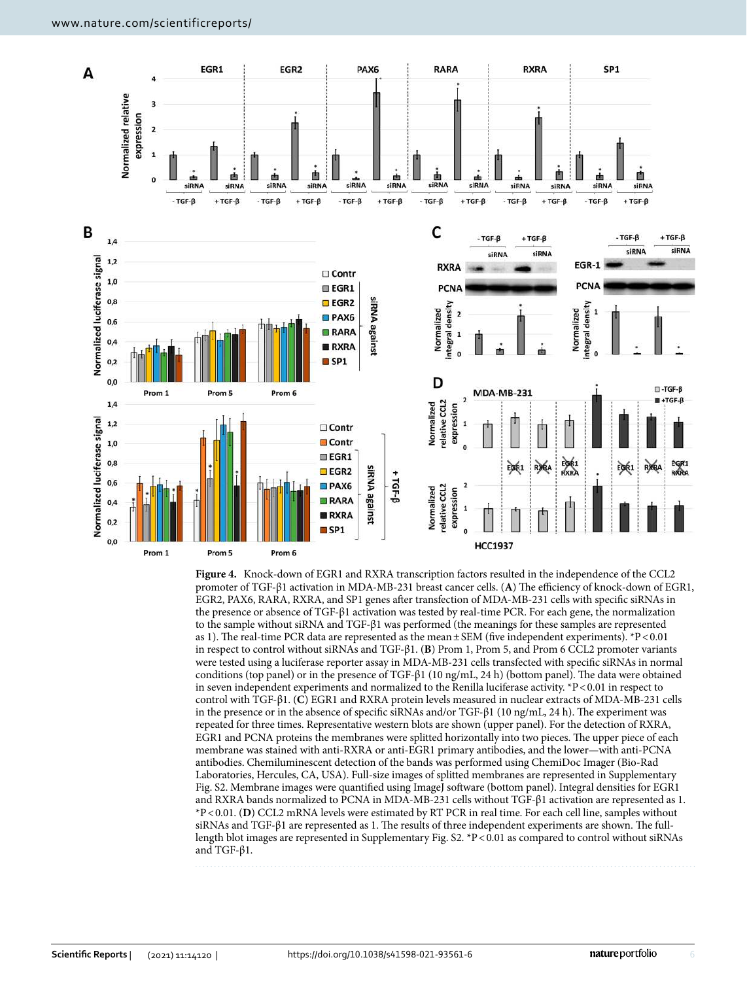

<span id="page-5-0"></span>**Figure 4.** Knock-down of EGR1 and RXRA transcription factors resulted in the independence of the CCL2 promoter of TGF-β1 activation in MDA-MB-231 breast cancer cells. (**A**) The efficiency of knock-down of EGR1, EGR2, PAX6, RARA, RXRA, and SP1 genes after transfection of MDA-MB-231 cells with specific siRNAs in the presence or absence of TGF-β1 activation was tested by real-time PCR. For each gene, the normalization to the sample without siRNA and TGF-β1 was performed (the meanings for these samples are represented as 1). The real-time PCR data are represented as the mean  $\pm$  SEM (five independent experiments). \*P < 0.01 in respect to control without siRNAs and TGF-β1. (**B**) Prom 1, Prom 5, and Prom 6 CCL2 promoter variants were tested using a luciferase reporter assay in MDA-MB-231 cells transfected with specific siRNAs in normal conditions (top panel) or in the presence of TGF-β1 (10 ng/mL, 24 h) (bottom panel). The data were obtained in seven independent experiments and normalized to the Renilla luciferase activity. \*P < 0.01 in respect to control with TGF-β1. (**C**) EGR1 and RXRA protein levels measured in nuclear extracts of MDA-MB-231 cells in the presence or in the absence of specific siRNAs and/or TGF-β1 (10 ng/mL, 24 h). The experiment was repeated for three times. Representative western blots are shown (upper panel). For the detection of RXRA, EGR1 and PCNA proteins the membranes were splitted horizontally into two pieces. The upper piece of each membrane was stained with anti-RXRA or anti-EGR1 primary antibodies, and the lower—with anti-PCNA antibodies. Chemiluminescent detection of the bands was performed using ChemiDoc Imager (Bio-Rad Laboratories, Hercules, CA, USA). Full-size images of splitted membranes are represented in Supplementary Fig. S2. Membrane images were quantified using ImageJ software (bottom panel). Integral densities for EGR1 and RXRA bands normalized to PCNA in MDA-MB-231 cells without TGF-β1 activation are represented as 1. \*P < 0.01. (**D**) CCL2 mRNA levels were estimated by RT PCR in real time. For each cell line, samples without siRNAs and TGF-β1 are represented as 1. The results of three independent experiments are shown. The fulllength blot images are represented in Supplementary Fig. S2. \*P < 0.01 as compared to control without siRNAs and TGF-β1.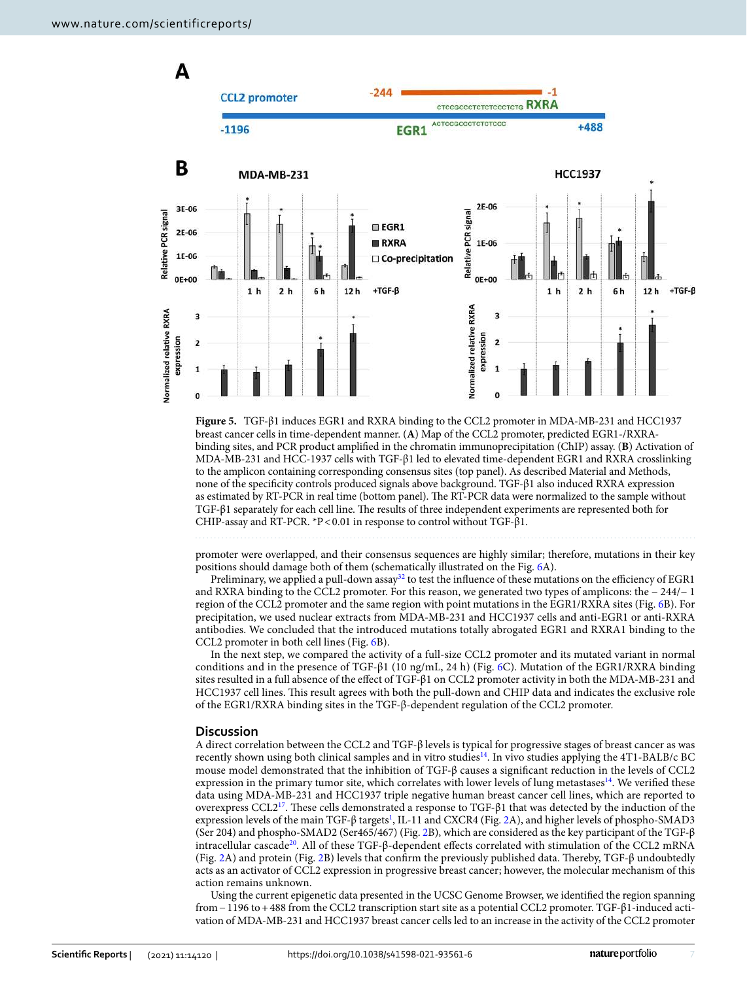

<span id="page-6-0"></span>**Figure 5.** TGF-β1 induces EGR1 and RXRA binding to the CCL2 promoter in MDA-MB-231 and HCC1937 breast cancer cells in time-dependent manner. (**A**) Map of the CCL2 promoter, predicted EGR1-/RXRAbinding sites, and PCR product amplified in the chromatin immunoprecipitation (ChIP) assay. (**B**) Activation of MDA-MB-231 and HCC-1937 cells with TGF-β1 led to elevated time-dependent EGR1 and RXRA crosslinking to the amplicon containing corresponding consensus sites (top panel). As described Material and Methods, none of the specificity controls produced signals above background. TGF-β1 also induced RXRA expression as estimated by RT-PCR in real time (bottom panel). The RT-PCR data were normalized to the sample without TGF-β1 separately for each cell line. The results of three independent experiments are represented both for CHIP-assay and RT-PCR. \*P < 0.01 in response to control without TGF-β1.

promoter were overlapped, and their consensus sequences are highly similar; therefore, mutations in their key positions should damage both of them (schematically illustrated on the Fig. [6A](#page-7-0)).

Preliminary, we applied a pull-down assay<sup>[32](#page-11-4)</sup> to test the influence of these mutations on the efficiency of EGR1 and RXRA binding to the CCL2 promoter. For this reason, we generated two types of amplicons: the − 244/− 1 region of the CCL2 promoter and the same region with point mutations in the EGR1/RXRA sites (Fig. [6](#page-7-0)B). For precipitation, we used nuclear extracts from MDA-MB-231 and HCC1937 cells and anti-EGR1 or anti-RXRA antibodies. We concluded that the introduced mutations totally abrogated EGR1 and RXRA1 binding to the CCL2 promoter in both cell lines (Fig. [6](#page-7-0)B).

In the next step, we compared the activity of a full-size CCL2 promoter and its mutated variant in normal conditions and in the presence of TGF-β1 (10 ng/mL, 24 h) (Fig. [6C](#page-7-0)). Mutation of the EGR1/RXRA binding sites resulted in a full absence of the effect of TGF-β1 on CCL2 promoter activity in both the MDA-MB-231 and HCC1937 cell lines. This result agrees with both the pull-down and CHIP data and indicates the exclusive role of the EGR1/RXRA binding sites in the TGF-β-dependent regulation of the CCL2 promoter.

#### **Discussion**

A direct correlation between the CCL2 and TGF-β levels is typical for progressive stages of breast cancer as was recently shown using both clinical samples and in vitro studies<sup>[14](#page-10-13)</sup>. In vivo studies applying the 4T1-BALB/c BC mouse model demonstrated that the inhibition of TGF-β causes a significant reduction in the levels of CCL2 expression in the primary tumor site, which correlates with lower levels of lung metastases<sup>[14](#page-10-13)</sup>. We verified these data using MDA-MB-231 and HCC1937 triple negative human breast cancer cell lines, which are reported to overexpress CCL2[17](#page-10-16). These cells demonstrated a response to TGF-β1 that was detected by the induction of the expression levels of the main TGF-β targets<sup>[1](#page-10-0)</sup>, IL-11 and CXCR4 (Fig. [2A](#page-3-0)), and higher levels of phospho-SMAD3 (Ser 204) and phospho-SMAD2 (Ser465/467) (Fig. [2](#page-3-0)B), which are considered as the key participant of the TGF-β intracellular cascade<sup>[20](#page-10-19)</sup>. All of these TGF-β-dependent effects correlated with stimulation of the CCL2 mRNA (Fig. [2](#page-3-0)A) and protein (Fig. [2](#page-3-0)B) levels that confirm the previously published data. Thereby, TGF-β undoubtedly acts as an activator of CCL2 expression in progressive breast cancer; however, the molecular mechanism of this action remains unknown.

Using the current epigenetic data presented in the UCSC Genome Browser, we identified the region spanning from − 1196 to + 488 from the CCL2 transcription start site as a potential CCL2 promoter. TGF-β1-induced activation of MDA-MB-231 and HCC1937 breast cancer cells led to an increase in the activity of the CCL2 promoter

7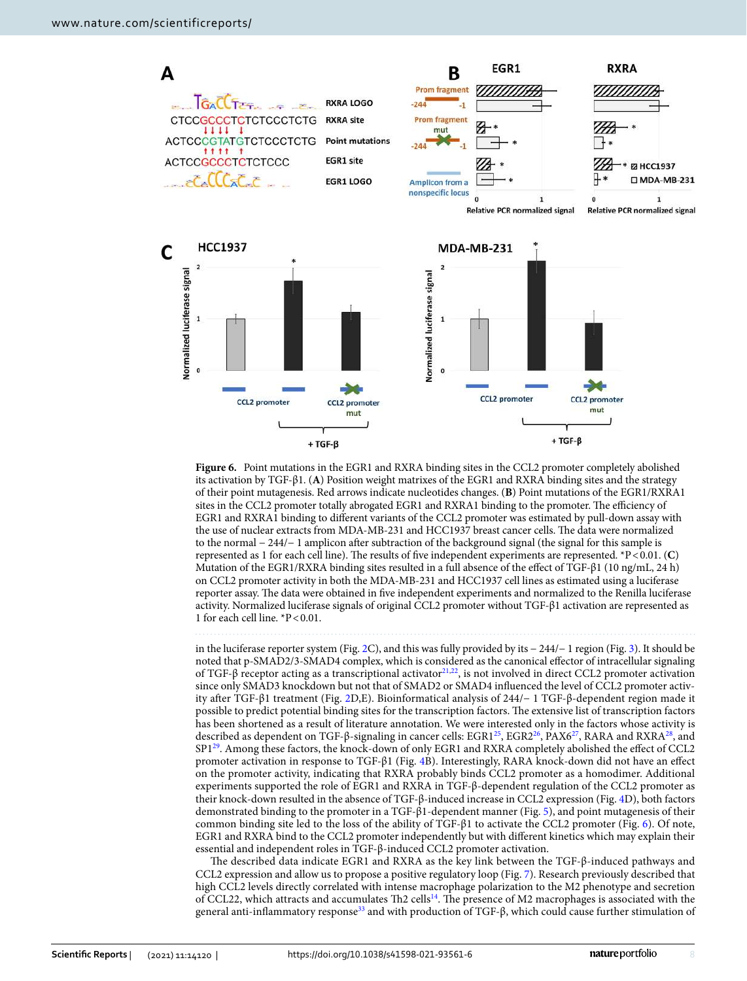

<span id="page-7-0"></span>**Figure 6.** Point mutations in the EGR1 and RXRA binding sites in the CCL2 promoter completely abolished its activation by TGF-β1. (**A**) Position weight matrixes of the EGR1 and RXRA binding sites and the strategy of their point mutagenesis. Red arrows indicate nucleotides changes. (**B**) Point mutations of the EGR1/RXRA1 sites in the CCL2 promoter totally abrogated EGR1 and RXRA1 binding to the promoter. The efficiency of EGR1 and RXRA1 binding to different variants of the CCL2 promoter was estimated by pull-down assay with the use of nuclear extracts from MDA-MB-231 and HCC1937 breast cancer cells. The data were normalized to the normal − 244/− 1 amplicon after subtraction of the background signal (the signal for this sample is represented as 1 for each cell line). The results of five independent experiments are represented. \*P < 0.01. (**C**) Mutation of the EGR1/RXRA binding sites resulted in a full absence of the effect of TGF-β1 (10 ng/mL, 24 h) on CCL2 promoter activity in both the MDA-MB-231 and HCC1937 cell lines as estimated using a luciferase reporter assay. The data were obtained in five independent experiments and normalized to the Renilla luciferase activity. Normalized luciferase signals of original CCL2 promoter without TGF-β1 activation are represented as 1 for each cell line. \*P < 0.01.

in the luciferase reporter system (Fig. [2](#page-3-0)C), and this was fully provided by its − 244/− 1 region (Fig. [3\)](#page-4-0). It should be noted that p-SMAD2/3-SMAD4 complex, which is considered as the canonical effector of intracellular signaling of TGF-β receptor acting as a transcriptional activator<sup>[21](#page-10-20),[22](#page-10-21)</sup>, is not involved in direct CCL2 promoter activation since only SMAD3 knockdown but not that of SMAD2 or SMAD4 influenced the level of CCL2 promoter activity after TGF-β1 treatment (Fig. [2D](#page-3-0),E). Bioinformatical analysis of 244/− 1 TGF-β-dependent region made it possible to predict potential binding sites for the transcription factors. The extensive list of transcription factors has been shortened as a result of literature annotation. We were interested only in the factors whose activity is described as dependent on TGF-β-signaling in cancer cells: EGR1<sup>[25](#page-10-24)</sup>, EGR2<sup>[26](#page-10-25)</sup>, PAX6<sup>[27](#page-10-26)</sup>, RARA and RXRA<sup>[28](#page-11-0)</sup>, and SP1<sup>[29](#page-11-1)</sup>. Among these factors, the knock-down of only EGR1 and RXRA completely abolished the effect of CCL2 promoter activation in response to TGF-β1 (Fig. [4B](#page-5-0)). Interestingly, RARA knock-down did not have an effect on the promoter activity, indicating that RXRA probably binds CCL2 promoter as a homodimer. Additional experiments supported the role of EGR1 and RXRA in TGF-β-dependent regulation of the CCL2 promoter as their knock-down resulted in the absence of TGF-β-induced increase in CCL2 expression (Fig. [4D](#page-5-0)), both factors demonstrated binding to the promoter in a TGF-β1-dependent manner (Fig. [5](#page-6-0)), and point mutagenesis of their common binding site led to the loss of the ability of TGF-β1 to activate the CCL2 promoter (Fig. [6\)](#page-7-0). Of note, EGR1 and RXRA bind to the CCL2 promoter independently but with different kinetics which may explain their essential and independent roles in TGF-β-induced CCL2 promoter activation.

The described data indicate EGR1 and RXRA as the key link between the TGF-β-induced pathways and CCL2 expression and allow us to propose a positive regulatory loop (Fig. [7](#page-8-0)). Research previously described that high CCL2 levels directly correlated with intense macrophage polarization to the M2 phenotype and secretion of CCL22, which attracts and accumulates Th2 cells<sup>[14](#page-10-13)</sup>. The presence of M2 macrophages is associated with the general anti-inflammatory response[33](#page-11-5) and with production of TGF-β, which could cause further stimulation of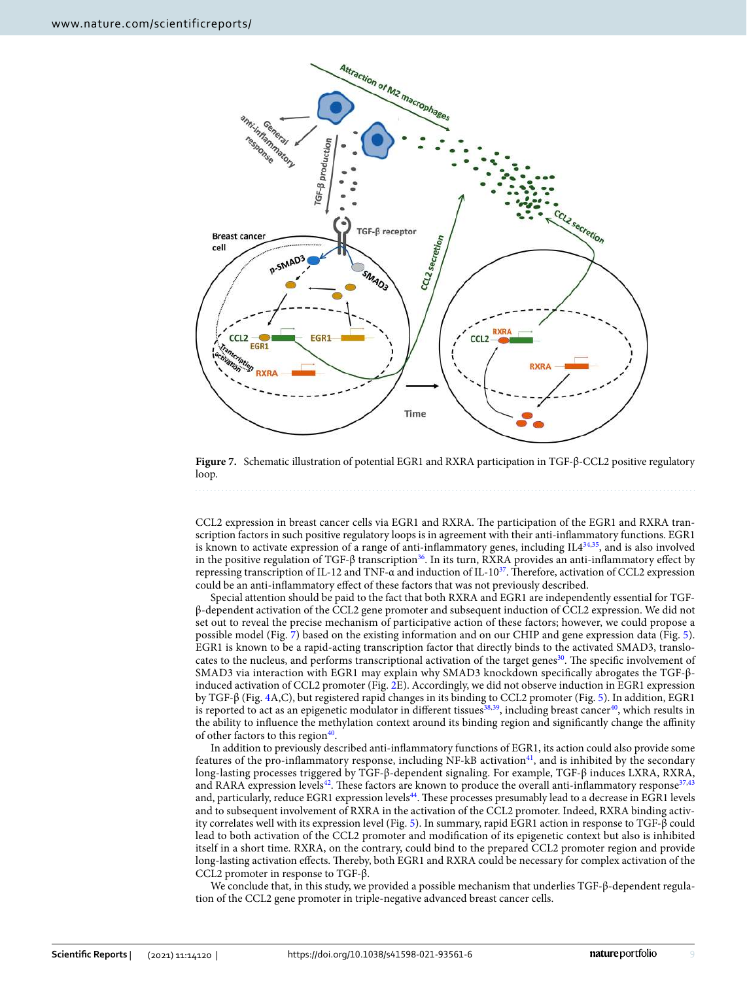

<span id="page-8-0"></span>**Figure 7.** Schematic illustration of potential EGR1 and RXRA participation in TGF-β-CCL2 positive regulatory loop.

CCL2 expression in breast cancer cells via EGR1 and RXRA. The participation of the EGR1 and RXRA transcription factors in such positive regulatory loops is in agreement with their anti-inflammatory functions. EGR1 is known to activate expression of a range of anti-inflammatory genes, including IL4[34,](#page-11-6)[35](#page-11-7), and is also involved in the positive regulation of TGF- $\beta$  transcription<sup>[36](#page-11-8)</sup>. In its turn, RXRA provides an anti-inflammatory effect by repressing transcription of IL-12 and TNF-α and induction of IL-10<sup>[37](#page-11-9)</sup>. Therefore, activation of CCL2 expression could be an anti-inflammatory effect of these factors that was not previously described.

Special attention should be paid to the fact that both RXRA and EGR1 are independently essential for TGFβ-dependent activation of the CCL2 gene promoter and subsequent induction of CCL2 expression. We did not set out to reveal the precise mechanism of participative action of these factors; however, we could propose a possible model (Fig. [7\)](#page-8-0) based on the existing information and on our CHIP and gene expression data (Fig. [5\)](#page-6-0). EGR1 is known to be a rapid-acting transcription factor that directly binds to the activated SMAD3, translo-cates to the nucleus, and performs transcriptional activation of the target genes<sup>[30](#page-11-2)</sup>. The specific involvement of SMAD3 via interaction with EGR1 may explain why SMAD3 knockdown specifically abrogates the TGF-βinduced activation of CCL2 promoter (Fig. [2](#page-3-0)E). Accordingly, we did not observe induction in EGR1 expression by TGF-β (Fig. [4A](#page-5-0),C), but registered rapid changes in its binding to CCL2 promoter (Fig. [5](#page-6-0)). In addition, EGR1 is reported to act as an epigenetic modulator in different tissues<sup>[38](#page-11-10),[39](#page-11-11)</sup>, including breast cancer<sup>[40](#page-11-12)</sup>, which results in the ability to influence the methylation context around its binding region and significantly change the affinity of other factors to this region<sup>[40](#page-11-12)</sup>.

In addition to previously described anti-inflammatory functions of EGR1, its action could also provide some features of the pro-inflammatory response, including  $NF-kB$  activation<sup>[41](#page-11-13)</sup>, and is inhibited by the secondary long-lasting processes triggered by TGF-β-dependent signaling. For example, TGF-β induces LXRA, RXRA, and RARA expression levels<sup>[42](#page-11-14)</sup>. These factors are known to produce the overall anti-inflammatory response<sup>[37](#page-11-9),[43](#page-11-15)</sup> and, particularly, reduce EGR1 expression levels<sup>[44](#page-11-16)</sup>. These processes presumably lead to a decrease in EGR1 levels and to subsequent involvement of RXRA in the activation of the CCL2 promoter. Indeed, RXRA binding activity correlates well with its expression level (Fig. [5](#page-6-0)). In summary, rapid EGR1 action in response to TGF-β could lead to both activation of the CCL2 promoter and modification of its epigenetic context but also is inhibited itself in a short time. RXRA, on the contrary, could bind to the prepared CCL2 promoter region and provide long-lasting activation effects. Thereby, both EGR1 and RXRA could be necessary for complex activation of the CCL2 promoter in response to TGF-β.

We conclude that, in this study, we provided a possible mechanism that underlies TGF-β-dependent regulation of the CCL2 gene promoter in triple-negative advanced breast cancer cells.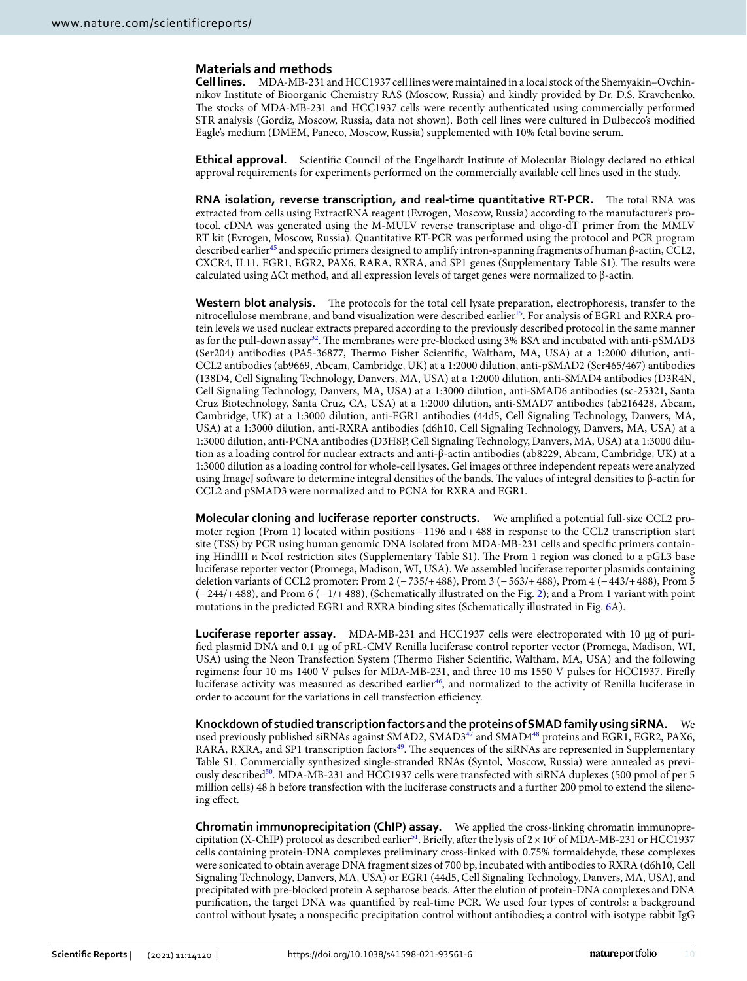# **Materials and methods**

**Cell lines.** MDA-MB-231 and HCC1937 cell lines were maintained in a local stock of the Shemyakin–Ovchinnikov Institute of Bioorganic Chemistry RAS (Moscow, Russia) and kindly provided by Dr. D.S. Kravchenko. The stocks of MDA-MB-231 and HCC1937 cells were recently authenticated using commercially performed STR analysis (Gordiz, Moscow, Russia, data not shown). Both cell lines were cultured in Dulbecco's modified Eagle's medium (DMEM, Paneco, Moscow, Russia) supplemented with 10% fetal bovine serum.

**Ethical approval.** Scientific Council of the Engelhardt Institute of Molecular Biology declared no ethical approval requirements for experiments performed on the commercially available cell lines used in the study.

**RNA isolation, reverse transcription, and real‑time quantitative RT‑PCR.** The total RNA was extracted from cells using ExtractRNA reagent (Evrogen, Moscow, Russia) according to the manufacturer's protocol. cDNA was generated using the M-MULV reverse transcriptase and oligo-dT primer from the MMLV RT kit (Evrogen, Moscow, Russia). Quantitative RT-PCR was performed using the protocol and PCR program described earlier[45](#page-11-17) and specific primers designed to amplify intron-spanning fragments of human β-actin, CCL2, CXCR4, IL11, EGR1, EGR2, PAX6, RARA, RXRA, and SP1 genes (Supplementary Table S1). The results were calculated using ΔCt method, and all expression levels of target genes were normalized to β-actin.

**Western blot analysis.** The protocols for the total cell lysate preparation, electrophoresis, transfer to the nitrocellulose membrane, and band visualization were described earlier<sup>[15](#page-10-14)</sup>. For analysis of EGR1 and RXRA protein levels we used nuclear extracts prepared according to the previously described protocol in the same manner as for the pull-down assay<sup>[32](#page-11-4)</sup>. The membranes were pre-blocked using 3% BSA and incubated with anti-pSMAD3 (Ser204) antibodies (PA5-36877, Thermo Fisher Scientific, Waltham, MA, USA) at a 1:2000 dilution, anti-CCL2 antibodies (ab9669, Abcam, Cambridge, UK) at a 1:2000 dilution, anti-pSMAD2 (Ser465/467) antibodies (138D4, Cell Signaling Technology, Danvers, MA, USA) at a 1:2000 dilution, anti-SMAD4 antibodies (D3R4N, Cell Signaling Technology, Danvers, MA, USA) at a 1:3000 dilution, anti-SMAD6 antibodies (sc-25321, Santa Cruz Biotechnology, Santa Cruz, CA, USA) at a 1:2000 dilution, anti-SMAD7 antibodies (ab216428, Abcam, Cambridge, UK) at a 1:3000 dilution, anti-EGR1 antibodies (44d5, Cell Signaling Technology, Danvers, MA, USA) at a 1:3000 dilution, anti-RXRA antibodies (d6h10, Cell Signaling Technology, Danvers, MA, USA) at a 1:3000 dilution, anti-PCNA antibodies (D3H8P, Cell Signaling Technology, Danvers, MA, USA) at a 1:3000 dilution as a loading control for nuclear extracts and anti-β-actin antibodies (ab8229, Abcam, Cambridge, UK) at a 1:3000 dilution as a loading control for whole-cell lysates. Gel images of three independent repeats were analyzed using ImageJ software to determine integral densities of the bands. The values of integral densities to β-actin for CCL2 and pSMAD3 were normalized and to PCNA for RXRA and EGR1.

**Molecular cloning and luciferase reporter constructs.** We amplified a potential full-size CCL2 promoter region (Prom 1) located within positions − 1196 and + 488 in response to the CCL2 transcription start site (TSS) by PCR using human genomic DNA isolated from MDA-MB-231 cells and specific primers containing HindIII и NcoI restriction sites (Supplementary Table S1). The Prom 1 region was cloned to a pGL3 base luciferase reporter vector (Promega, Madison, WI, USA). We assembled luciferase reporter plasmids containing deletion variants of CCL2 promoter: Prom 2 (− 735/+ 488), Prom 3 (− 563/+ 488), Prom 4 (− 443/+ 488), Prom 5 (− 244/+ 488), and Prom 6 (− 1/+ 488), (Schematically illustrated on the Fig. [2\)](#page-3-0); and a Prom 1 variant with point mutations in the predicted EGR1 and RXRA binding sites (Schematically illustrated in Fig. [6](#page-7-0)A).

**Luciferase reporter assay.** MDA-MB-231 and HCC1937 cells were electroporated with 10 μg of purified plasmid DNA and 0.1 μg of pRL-CMV Renilla luciferase control reporter vector (Promega, Madison, WI, USA) using the Neon Transfection System (Thermo Fisher Scientific, Waltham, MA, USA) and the following regimens: four 10 ms 1400 V pulses for MDA-MB-231, and three 10 ms 1550 V pulses for HCC1937. Firefly luciferase activity was measured as described earlier<sup>[46](#page-11-18)</sup>, and normalized to the activity of Renilla luciferase in order to account for the variations in cell transfection efficiency.

**Knockdown of studied transcription factors and the proteins of SMAD family using siRNA.** We used previously published siRNAs against SMAD2, SMAD3<sup>[47](#page-11-19)</sup> and SMAD4<sup>[48](#page-11-20)</sup> proteins and EGR1, EGR2, PAX6, RARA, RXRA, and SP1 transcription factors<sup>[49](#page-11-21)</sup>. The sequences of the siRNAs are represented in Supplementary Table S1. Commercially synthesized single-stranded RNAs (Syntol, Moscow, Russia) were annealed as previ-ously described<sup>[50](#page-11-22)</sup>. MDA-MB-231 and HCC1937 cells were transfected with siRNA duplexes (500 pmol of per 5 million cells) 48 h before transfection with the luciferase constructs and a further 200 pmol to extend the silencing effect.

**Chromatin immunoprecipitation (ChIP) assay.** We applied the cross-linking chromatin immunopre-cipitation (X-ChIP) protocol as described earlier<sup>[51](#page-11-23)</sup>. Briefly, after the lysis of  $2 \times 10^7$  of MDA-MB-231 or HCC1937 cells containing protein-DNA complexes preliminary cross-linked with 0.75% formaldehyde, these complexes were sonicated to obtain average DNA fragment sizes of 700 bp, incubated with antibodies to RXRA (d6h10, Cell Signaling Technology, Danvers, MA, USA) or EGR1 (44d5, Cell Signaling Technology, Danvers, MA, USA), and precipitated with pre-blocked protein A sepharose beads. After the elution of protein-DNA complexes and DNA purification, the target DNA was quantified by real-time PCR. We used four types of controls: a background control without lysate; a nonspecific precipitation control without antibodies; a control with isotype rabbit IgG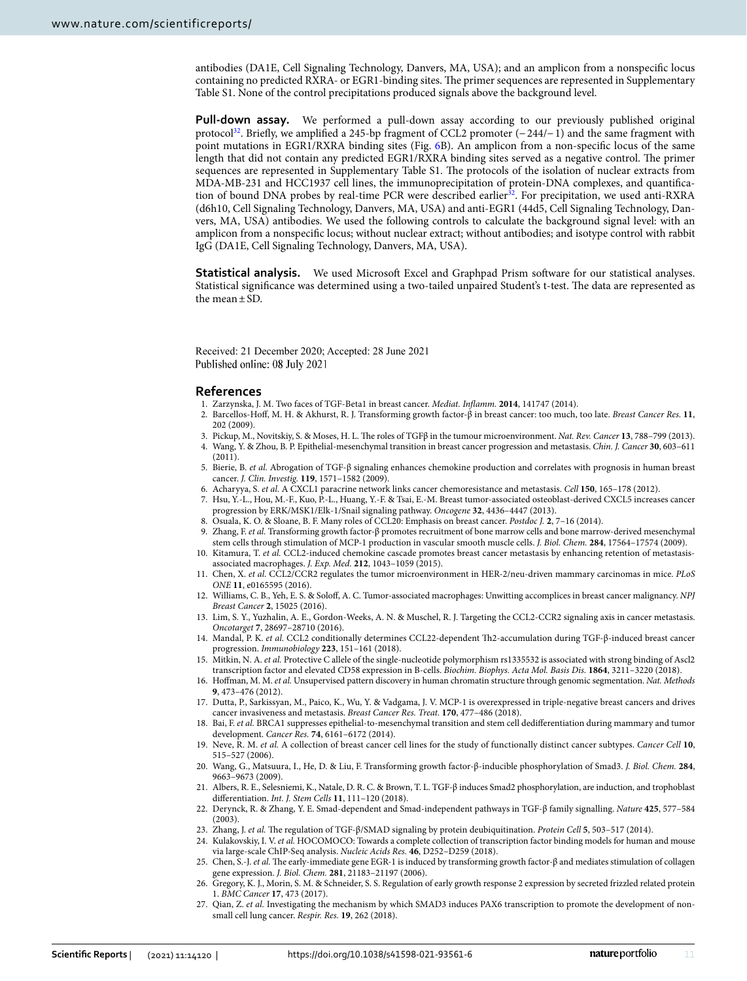antibodies (DA1E, Cell Signaling Technology, Danvers, MA, USA); and an amplicon from a nonspecific locus containing no predicted RXRA- or EGR1-binding sites. The primer sequences are represented in Supplementary Table S1. None of the control precipitations produced signals above the background level.

**Pull-down assay.** We performed a pull-down assay according to our previously published original protocol<sup>[32](#page-11-4)</sup>. Briefly, we amplified a 245-bp fragment of CCL2 promoter (−244/−1) and the same fragment with point mutations in EGR1/RXRA binding sites (Fig. [6](#page-7-0)B). An amplicon from a non-specific locus of the same length that did not contain any predicted EGR1/RXRA binding sites served as a negative control. The primer sequences are represented in Supplementary Table S1. The protocols of the isolation of nuclear extracts from MDA-MB-231 and HCC1937 cell lines, the immunoprecipitation of protein-DNA complexes, and quantifica-tion of bound DNA probes by real-time PCR were described earlier<sup>[32](#page-11-4)</sup>. For precipitation, we used anti-RXRA (d6h10, Cell Signaling Technology, Danvers, MA, USA) and anti-EGR1 (44d5, Cell Signaling Technology, Danvers, MA, USA) antibodies. We used the following controls to calculate the background signal level: with an amplicon from a nonspecific locus; without nuclear extract; without antibodies; and isotype control with rabbit IgG (DA1E, Cell Signaling Technology, Danvers, MA, USA).

**Statistical analysis.** We used Microsoft Excel and Graphpad Prism software for our statistical analyses. Statistical significance was determined using a two-tailed unpaired Student's t-test. The data are represented as the mean  $\pm$  SD.

Received: 21 December 2020; Accepted: 28 June 2021 Published online: 08 July 2021

#### **References**

- <span id="page-10-0"></span>1. Zarzynska, J. M. Two faces of TGF-Beta1 in breast cancer. Mediat. Inflamm. **2014**, 141747 (2014).
- <span id="page-10-1"></span> 2. Barcellos-Hoff, M. H. & Akhurst, R. J. Transforming growth factor-β in breast cancer: too much, too late. Breast Cancer Res. **11**, 202 (2009).
- <span id="page-10-2"></span>3. Pickup, M., Novitskiy, S. & Moses, H. L. The roles of TGFβ in the tumour microenvironment. Nat. Rev. Cancer **13**, 788–799 (2013).
- <span id="page-10-3"></span> 4. Wang, Y. & Zhou, B. P. Epithelial-mesenchymal transition in breast cancer progression and metastasis. Chin. J. Cancer **30**, 603–611  $(2011).$
- <span id="page-10-4"></span> 5. Bierie, B. et al. Abrogation of TGF-β signaling enhances chemokine production and correlates with prognosis in human breast cancer. J. Clin. Investig. **119**, 1571–1582 (2009).
- <span id="page-10-5"></span>6. Acharyya, S. et al. A CXCL1 paracrine network links cancer chemoresistance and metastasis. Cell **150**, 165–178 (2012).
- <span id="page-10-6"></span> 7. Hsu, Y.-L., Hou, M.-F., Kuo, P.-L., Huang, Y.-F. & Tsai, E.-M. Breast tumor-associated osteoblast-derived CXCL5 increases cancer progression by ERK/MSK1/Elk-1/Snail signaling pathway. Oncogene **32**, 4436–4447 (2013).
- <span id="page-10-7"></span>8. Osuala, K. O. & Sloane, B. F. Many roles of CCL20: Emphasis on breast cancer. Postdoc J. **2**, 7–16 (2014).
- <span id="page-10-8"></span>9. Zhang, F. et al. Transforming growth factor-β promotes recruitment of bone marrow cells and bone marrow-derived mesenchymal stem cells through stimulation of MCP-1 production in vascular smooth muscle cells. J. Biol. Chem. **284**, 17564–17574 (2009).
- <span id="page-10-9"></span> 10. Kitamura, T. et al. CCL2-induced chemokine cascade promotes breast cancer metastasis by enhancing retention of metastasisassociated macrophages. J. Exp. Med. **212**, 1043–1059 (2015).
- <span id="page-10-10"></span> 11. Chen, X. et al. CCL2/CCR2 regulates the tumor microenvironment in HER-2/neu-driven mammary carcinomas in mice. PLoS ONE **11**, e0165595 (2016).
- <span id="page-10-11"></span> 12. Williams, C. B., Yeh, E. S. & Soloff, A. C. Tumor-associated macrophages: Unwitting accomplices in breast cancer malignancy. NPJ Breast Cancer **2**, 15025 (2016).
- <span id="page-10-12"></span> 13. Lim, S. Y., Yuzhalin, A. E., Gordon-Weeks, A. N. & Muschel, R. J. Targeting the CCL2-CCR2 signaling axis in cancer metastasis. Oncotarget **7**, 28697–28710 (2016).
- <span id="page-10-13"></span> 14. Mandal, P. K. et al. CCL2 conditionally determines CCL22-dependent Th2-accumulation during TGF-β-induced breast cancer progression. Immunobiology **223**, 151–161 (2018).
- <span id="page-10-14"></span> 15. Mitkin, N. A. et al. Protective C allele of the single-nucleotide polymorphism rs1335532 is associated with strong binding of Ascl2 transcription factor and elevated CD58 expression in B-cells. Biochim. Biophys. Acta Mol. Basis Dis. **1864**, 3211–3220 (2018).
- <span id="page-10-15"></span>16. Hoffman, M. M. et al. Unsupervised pattern discovery in human chromatin structure through genomic segmentation. Nat. Methods **9**, 473–476 (2012).
- <span id="page-10-16"></span> 17. Dutta, P., Sarkissyan, M., Paico, K., Wu, Y. & Vadgama, J. V. MCP-1 is overexpressed in triple-negative breast cancers and drives cancer invasiveness and metastasis. Breast Cancer Res. Treat. **170**, 477–486 (2018).
- <span id="page-10-17"></span>18. Bai, F. et al. BRCA1 suppresses epithelial-to-mesenchymal transition and stem cell dedifferentiation during mammary and tumor development. Cancer Res. **74**, 6161–6172 (2014).
- <span id="page-10-18"></span> 19. Neve, R. M. et al. A collection of breast cancer cell lines for the study of functionally distinct cancer subtypes. Cancer Cell **10**, 515–527 (2006).
- <span id="page-10-19"></span> 20. Wang, G., Matsuura, I., He, D. & Liu, F. Transforming growth factor-β-inducible phosphorylation of Smad3. J. Biol. Chem. **284**, 9663–9673 (2009).
- <span id="page-10-20"></span> 21. Albers, R. E., Selesniemi, K., Natale, D. R. C. & Brown, T. L. TGF-β induces Smad2 phosphorylation, are induction, and trophoblast differentiation. Int. J. Stem Cells **11**, 111–120 (2018).
- <span id="page-10-21"></span> 22. Derynck, R. & Zhang, Y. E. Smad-dependent and Smad-independent pathways in TGF-β family signalling. Nature **425**, 577–584 (2003).
- <span id="page-10-22"></span>23. Zhang, J. et al. The regulation of TGF-β/SMAD signaling by protein deubiquitination. Protein Cell **5**, 503–517 (2014).
- <span id="page-10-23"></span>24. Kulakovskiy, I. V. et al. HOCOMOCO: Towards a complete collection of transcription factor binding models for human and mouse via large-scale ChIP-Seq analysis. Nucleic Acids Res. **46**, D252–D259 (2018).
- <span id="page-10-24"></span> 25. Chen, S.-J. et al. The early-immediate gene EGR-1 is induced by transforming growth factor-β and mediates stimulation of collagen gene expression. J. Biol. Chem. **281**, 21183–21197 (2006).
- <span id="page-10-25"></span> 26. Gregory, K. J., Morin, S. M. & Schneider, S. S. Regulation of early growth response 2 expression by secreted frizzled related protein 1. BMC Cancer **17**, 473 (2017).
- <span id="page-10-26"></span>27. Qian, Z. et al. Investigating the mechanism by which SMAD3 induces PAX6 transcription to promote the development of nonsmall cell lung cancer. Respir. Res. **19**, 262 (2018).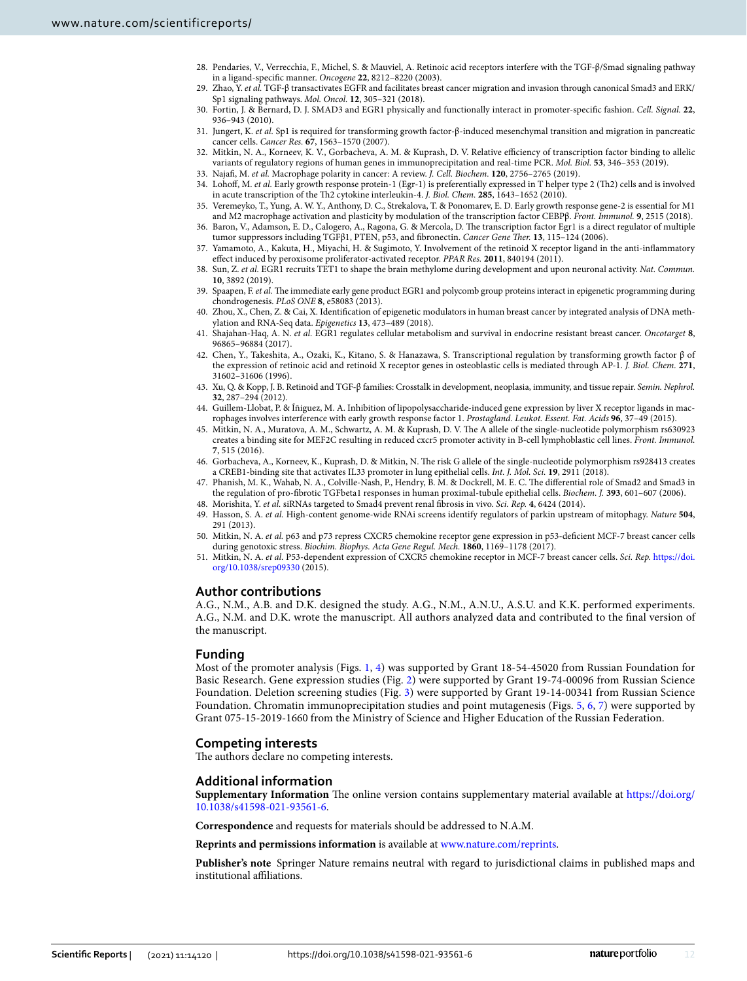- <span id="page-11-0"></span> 28. Pendaries, V., Verrecchia, F., Michel, S. & Mauviel, A. Retinoic acid receptors interfere with the TGF-β/Smad signaling pathway in a ligand-specific manner. Oncogene **22**, 8212–8220 (2003).
- <span id="page-11-1"></span> 29. Zhao, Y. et al. TGF-β transactivates EGFR and facilitates breast cancer migration and invasion through canonical Smad3 and ERK/ Sp1 signaling pathways. Mol. Oncol. **12**, 305–321 (2018).
- <span id="page-11-2"></span> 30. Fortin, J. & Bernard, D. J. SMAD3 and EGR1 physically and functionally interact in promoter-specific fashion. Cell. Signal. **22**, 936–943 (2010).
- <span id="page-11-3"></span> 31. Jungert, K. et al. Sp1 is required for transforming growth factor-β-induced mesenchymal transition and migration in pancreatic cancer cells. Cancer Res. **67**, 1563–1570 (2007).
- <span id="page-11-4"></span> 32. Mitkin, N. A., Korneev, K. V., Gorbacheva, A. M. & Kuprash, D. V. Relative efficiency of transcription factor binding to allelic variants of regulatory regions of human genes in immunoprecipitation and real-time PCR. Mol. Biol. **53**, 346–353 (2019).
- <span id="page-11-5"></span>33. Najafi, M. et al. Macrophage polarity in cancer: A review. J. Cell. Biochem. **120**, 2756–2765 (2019).
- <span id="page-11-6"></span> 34. Lohoff, M. et al. Early growth response protein-1 (Egr-1) is preferentially expressed in T helper type 2 (Th2) cells and is involved in acute transcription of the Th2 cytokine interleukin-4. J. Biol. Chem. **285**, 1643–1652 (2010).
- <span id="page-11-7"></span> 35. Veremeyko, T., Yung, A. W. Y., Anthony, D. C., Strekalova, T. & Ponomarev, E. D. Early growth response gene-2 is essential for M1 and M2 macrophage activation and plasticity by modulation of the transcription factor CEBPβ. Front. Immunol. **9**, 2515 (2018).
- <span id="page-11-8"></span> 36. Baron, V., Adamson, E. D., Calogero, A., Ragona, G. & Mercola, D. The transcription factor Egr1 is a direct regulator of multiple tumor suppressors including TGFβ1, PTEN, p53, and fibronectin. Cancer Gene Ther. **13**, 115–124 (2006).
- <span id="page-11-9"></span> 37. Yamamoto, A., Kakuta, H., Miyachi, H. & Sugimoto, Y. Involvement of the retinoid X receptor ligand in the anti-inflammatory effect induced by peroxisome proliferator-activated receptor. PPAR Res. **2011**, 840194 (2011).
- <span id="page-11-10"></span> 38. Sun, Z. et al. EGR1 recruits TET1 to shape the brain methylome during development and upon neuronal activity. Nat. Commun. **10**, 3892 (2019).
- <span id="page-11-11"></span>39. Spaapen, F. et al. The immediate early gene product EGR1 and polycomb group proteins interact in epigenetic programming during chondrogenesis. PLoS ONE **8**, e58083 (2013).
- <span id="page-11-12"></span> 40. Zhou, X., Chen, Z. & Cai, X. Identification of epigenetic modulators in human breast cancer by integrated analysis of DNA methylation and RNA-Seq data. Epigenetics **13**, 473–489 (2018).
- <span id="page-11-13"></span> 41. Shajahan-Haq, A. N. et al. EGR1 regulates cellular metabolism and survival in endocrine resistant breast cancer. Oncotarget **8**, 96865–96884 (2017).
- <span id="page-11-14"></span> 42. Chen, Y., Takeshita, A., Ozaki, K., Kitano, S. & Hanazawa, S. Transcriptional regulation by transforming growth factor β of the expression of retinoic acid and retinoid X receptor genes in osteoblastic cells is mediated through AP-1. J. Biol. Chem. **271**, 31602–31606 (1996).
- <span id="page-11-15"></span> 43. Xu, Q. & Kopp, J. B. Retinoid and TGF-β families: Crosstalk in development, neoplasia, immunity, and tissue repair. Semin. Nephrol. **32**, 287–294 (2012).
- <span id="page-11-16"></span> 44. Guillem-Llobat, P. & Íñiguez, M. A. Inhibition of lipopolysaccharide-induced gene expression by liver X receptor ligands in macrophages involves interference with early growth response factor 1. Prostagland. Leukot. Essent. Fat. Acids **96**, 37–49 (2015).
- <span id="page-11-17"></span> 45. Mitkin, N. A., Muratova, A. M., Schwartz, A. M. & Kuprash, D. V. The A allele of the single-nucleotide polymorphism rs630923 creates a binding site for MEF2C resulting in reduced cxcr5 promoter activity in B-cell lymphoblastic cell lines. Front. Immunol. **7**, 515 (2016).
- <span id="page-11-18"></span> 46. Gorbacheva, A., Korneev, K., Kuprash, D. & Mitkin, N. The risk G allele of the single-nucleotide polymorphism rs928413 creates a CREB1-binding site that activates IL33 promoter in lung epithelial cells. Int. J. Mol. Sci. **19**, 2911 (2018).
- <span id="page-11-19"></span> 47. Phanish, M. K., Wahab, N. A., Colville-Nash, P., Hendry, B. M. & Dockrell, M. E. C. The differential role of Smad2 and Smad3 in the regulation of pro-fibrotic TGFbeta1 responses in human proximal-tubule epithelial cells. Biochem. J. **393**, 601–607 (2006).
- <span id="page-11-20"></span>48. Morishita, Y. et al. siRNAs targeted to Smad4 prevent renal fibrosis in vivo. Sci. Rep. **4**, 6424 (2014).
- <span id="page-11-21"></span> 49. Hasson, S. A. et al. High-content genome-wide RNAi screens identify regulators of parkin upstream of mitophagy. Nature **504**, 291 (2013).
- <span id="page-11-22"></span> 50. Mitkin, N. A. et al. p63 and p73 repress CXCR5 chemokine receptor gene expression in p53-deficient MCF-7 breast cancer cells during genotoxic stress. Biochim. Biophys. Acta Gene Regul. Mech. **1860**, 1169–1178 (2017).
- <span id="page-11-23"></span>51. Mitkin, N. A. et al. P53-dependent expression of CXCR5 chemokine receptor in MCF-7 breast cancer cells. Sci. Rep. https://doi. org/10.1038/srep09330 (2015).

### **Author contributions**

A.G., N.M., A.B. and D.K. designed the study. A.G., N.M., A.N.U., A.S.U. and K.K. performed experiments. A.G., N.M. and D.K. wrote the manuscript. All authors analyzed data and contributed to the final version of the manuscript.

### **Funding**

Most of the promoter analysis (Figs. [1](#page-2-0), [4\)](#page-5-0) was supported by Grant 18-54-45020 from Russian Foundation for Basic Research. Gene expression studies (Fig. [2](#page-3-0)) were supported by Grant 19-74-00096 from Russian Science Foundation. Deletion screening studies (Fig. [3\)](#page-4-0) were supported by Grant 19-14-00341 from Russian Science Foundation. Chromatin immunoprecipitation studies and point mutagenesis (Figs. [5](#page-6-0), [6,](#page-7-0) [7\)](#page-8-0) were supported by Grant 075-15-2019-1660 from the Ministry of Science and Higher Education of the Russian Federation.

# **Competing interests**

The authors declare no competing interests.

## **Additional information**

**Supplementary Information** The online version contains supplementary material available at https://doi.org/ 10.1038/s41598-021-93561-6.

**Correspondence** and requests for materials should be addressed to N.A.M.

**Reprints and permissions information** is available at [www.nature.com/reprints.](www.nature.com/reprints)

**Publisher's note** Springer Nature remains neutral with regard to jurisdictional claims in published maps and institutional affiliations.